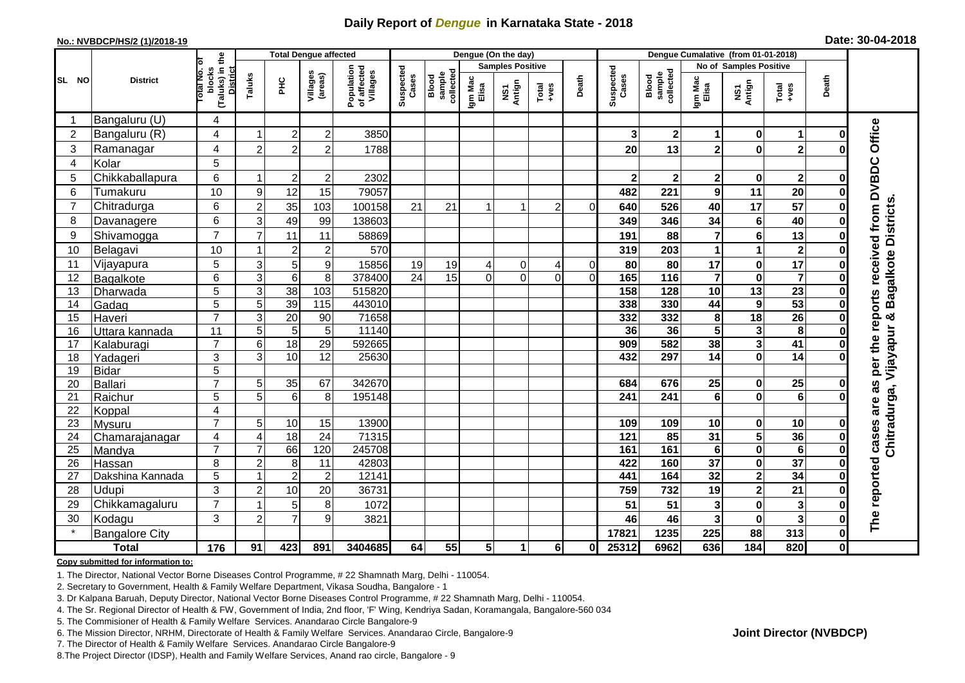## **Daily Report of** *Dengue* **in Karnataka State - 2018**

#### **No.: NVBDCP/HS/2 (1)/2018-19**

|  | Date: 30-04-2018 |  |
|--|------------------|--|
|--|------------------|--|

|                |                            |                                                       | <b>Total Dengue affected</b> |                 |                        |                                       |                    |                              |                  | Dengue (On the day)     |                                                              |                | Dengue Cumalative (from 01-01-2018) |                              |                                   |                                                    |                         |               |                                                             |
|----------------|----------------------------|-------------------------------------------------------|------------------------------|-----------------|------------------------|---------------------------------------|--------------------|------------------------------|------------------|-------------------------|--------------------------------------------------------------|----------------|-------------------------------------|------------------------------|-----------------------------------|----------------------------------------------------|-------------------------|---------------|-------------------------------------------------------------|
|                |                            |                                                       |                              |                 |                        |                                       |                    |                              |                  | <b>Samples Positive</b> |                                                              |                |                                     |                              |                                   | <b>No of Samples Positive</b>                      |                         |               |                                                             |
| SL NO          | <b>District</b>            | (Taluks) in the<br>District<br>Total No. of<br>blocks | Taluks                       | <b>PHC</b>      | Villages<br>(areas)    | Population<br>of affected<br>Villages | Suspected<br>Cases | sample<br>collected<br>Blood | Igm Mac<br>Elisa | NS1<br>Antign           | $\begin{array}{c}\n\text{Total} \\ \text{+ves}\n\end{array}$ | Death          | Suspected<br>Cases                  | collected<br>sample<br>Blood | Igm Mac<br>Elisa                  | NS1<br>Antign                                      | Total<br>+ves           | Death         |                                                             |
| -1             | Bangaluru (U)              | 4                                                     |                              |                 |                        |                                       |                    |                              |                  |                         |                                                              |                |                                     |                              |                                   |                                                    |                         |               |                                                             |
| $\overline{2}$ | Bangaluru (R)              | $\overline{4}$                                        |                              | $\overline{2}$  | $\mathbf 2$            | 3850                                  |                    |                              |                  |                         |                                                              |                | 3                                   | 2                            | 1                                 | $\mathbf 0$                                        | $\mathbf 1$             | O             |                                                             |
| 3              | Ramanagar                  | 4                                                     | $\overline{2}$               | $\overline{2}$  | $\overline{2}$         | 1788                                  |                    |                              |                  |                         |                                                              |                | 20                                  | 13                           | $\overline{\mathbf{2}}$           | $\mathbf 0$                                        | $\overline{\mathbf{2}}$ |               | Office                                                      |
| $\overline{4}$ | Kolar                      | 5                                                     |                              |                 |                        |                                       |                    |                              |                  |                         |                                                              |                |                                     |                              |                                   |                                                    |                         |               |                                                             |
| 5              | Chikkaballapura            | 6                                                     | -1                           | $\overline{2}$  | $\boldsymbol{2}$       | 2302                                  |                    |                              |                  |                         |                                                              |                | 2                                   | $\mathbf{2}$                 | 2                                 | 0                                                  | $\overline{\mathbf{2}}$ | 0             |                                                             |
| 6              | Tumakuru                   | 10                                                    | 9                            | 12              | 15                     | 79057                                 |                    |                              |                  |                         |                                                              |                | 482                                 | 221                          | 9                                 | 11                                                 | 20                      | ŋ             |                                                             |
| $\overline{7}$ | Chitradurga                | 6                                                     | $\overline{c}$               | 35              | 103                    | 100158                                | 21                 | 21                           |                  |                         | $\overline{c}$                                               | $\Omega$       | 640                                 | 526                          | 40                                | 17                                                 | 57                      | 0             |                                                             |
| 8              | Davanagere                 | 6                                                     | 3                            | 49              | 99                     | 138603                                |                    |                              |                  |                         |                                                              |                | 349                                 | 346                          | 34                                | $\bf 6$                                            | 40                      | $\bf{0}$      |                                                             |
| 9              | Shivamogga                 | $\overline{7}$                                        | $\overline{7}$               | 11              | 11                     | 58869                                 |                    |                              |                  |                         |                                                              |                | 191                                 | 88                           | 7                                 | $6\phantom{1}$                                     | 13                      | $\bf{0}$      | per the reports received from DVBDC<br>Bagalkote Districts. |
| 10             | Belagavi                   | 10                                                    |                              | $\overline{2}$  | $\overline{c}$         | 570                                   |                    |                              |                  |                         |                                                              |                | 319                                 | 203                          | 1                                 | 1                                                  | $\mathbf{2}$            | O             |                                                             |
| 11             | Vijayapura                 | 5                                                     | $\mathbf{3}$                 | 5               | 9                      | 15856                                 | 19                 | 19                           |                  | $\mathbf 0$             | 4                                                            | $\overline{0}$ | 80                                  | 80                           | 17                                | $\bf{0}$                                           | 17                      | ŋ             |                                                             |
| 12             | Bagalkote                  | 6                                                     | $\overline{3}$               | $\overline{6}$  | 8                      | 378400                                | $\overline{24}$    | 15                           | $\Omega$         | $\Omega$                | $\Omega$                                                     | $\Omega$       | 165                                 | $\frac{116}{116}$            | $\overline{7}$                    | $\overline{\mathbf{0}}$                            | $\overline{7}$          |               |                                                             |
| 13             | Dharwada                   | $\overline{5}$                                        | 3                            | 38              | 103                    | 515820                                |                    |                              |                  |                         |                                                              |                | 158                                 | $\frac{1}{28}$               | $\overline{10}$                   | $\overline{13}$                                    | $\overline{23}$         |               |                                                             |
| 14             | Gadag                      | 5                                                     | 5                            | 39              | 115                    | 443010                                |                    |                              |                  |                         |                                                              |                | 338                                 | 330                          | 44                                | $\boldsymbol{9}$                                   | 53                      | $\bf{0}$      |                                                             |
| 15             | Haveri                     | $\overline{7}$                                        | 3                            | 20              | 90                     | 71658                                 |                    |                              |                  |                         |                                                              |                | 332                                 | 332                          | $\pmb{8}$                         | 18                                                 | $\overline{26}$         | $\bf{0}$      | ×                                                           |
| 16             | Uttara kannada             | 11                                                    | 5                            | $\sqrt{5}$      | $\sqrt{5}$             | 11140                                 |                    |                              |                  |                         |                                                              |                | 36                                  | 36                           | 5                                 | $\mathbf{3}$                                       | 8                       | 0             | Vijayapur                                                   |
| 17             | Kalaburagi                 | $\overline{7}$                                        | $6\phantom{1}6$              | 18              | 29                     | 592665                                |                    |                              |                  |                         |                                                              |                | 909                                 | 582                          | 38                                | $\overline{\mathbf{3}}$                            | 41                      | O             |                                                             |
| 18             | Yadageri                   | 3                                                     | 3                            | 10              | 12                     | 25630                                 |                    |                              |                  |                         |                                                              |                | 432                                 | 297                          | 14                                | $\mathbf 0$                                        | 14                      |               |                                                             |
| 19             | <b>Bidar</b>               | 5                                                     |                              |                 |                        |                                       |                    |                              |                  |                         |                                                              |                |                                     |                              |                                   |                                                    |                         |               |                                                             |
| 20             | <b>Ballari</b>             | $\overline{7}$                                        | 5                            | 35              | 67                     | 342670                                |                    |                              |                  |                         |                                                              |                | 684                                 | 676                          | 25                                | $\bf{0}$                                           | $\overline{25}$         | Ω             | as                                                          |
| 21             | Raichur                    | 5                                                     | 5                            | $6\phantom{1}6$ | 8                      | 195148                                |                    |                              |                  |                         |                                                              |                | 241                                 | 241                          | $6\phantom{a}$                    | $\mathbf 0$                                        | $\overline{6}$          |               |                                                             |
| 22             | Koppal                     | $\overline{4}$                                        |                              |                 |                        |                                       |                    |                              |                  |                         |                                                              |                |                                     |                              |                                   |                                                    |                         |               |                                                             |
| 23             | Mysuru                     | $\overline{7}$                                        | 5                            | 10              | 15                     | 13900                                 |                    |                              |                  |                         |                                                              |                | 109                                 | 109                          | 10                                | $\pmb{0}$                                          | 10                      | 0             |                                                             |
| 24             | Chamarajanagar             | 4<br>$\overline{7}$                                   | 4<br>$\overline{7}$          | 18<br>66        | $\overline{24}$<br>120 | 71315                                 |                    |                              |                  |                         |                                                              |                | $\overline{121}$<br>161             | 85<br>161                    | $\overline{31}$                   | $\overline{\mathbf{5}}$<br>$\overline{\mathbf{0}}$ | 36<br>$6\phantom{1}6$   | 0<br>$\bf{0}$ | Chitradurga,<br>cases are                                   |
| 25<br>26       | Mandya                     | 8                                                     | $\overline{2}$               | 8               | 11                     | 245708<br>42803                       |                    |                              |                  |                         |                                                              |                | 422                                 | 160                          | $6\phantom{1}$<br>$\overline{37}$ | $\mathbf 0$                                        | $\overline{37}$         | $\bf{0}$      |                                                             |
| 27             | Hassan<br>Dakshina Kannada | 5                                                     | -1                           | $\overline{2}$  | $\overline{c}$         | 12141                                 |                    |                              |                  |                         |                                                              |                | 441                                 | 164                          | $\overline{32}$                   | $\mathbf 2$                                        | $\overline{34}$         | 0             |                                                             |
| 28             | <b>Udupi</b>               | 3                                                     | $\overline{c}$               | 10              | 20                     | 36731                                 |                    |                              |                  |                         |                                                              |                | 759                                 | 732                          | 19                                | $\overline{\mathbf{2}}$                            | 21                      | O             |                                                             |
| 29             |                            | $\overline{7}$                                        |                              | 5               | 8                      | 1072                                  |                    |                              |                  |                         |                                                              |                | 51                                  | 51                           | 3                                 | $\mathbf 0$                                        | 3                       | U             |                                                             |
| 30             | Chikkamagaluru<br>Kodagu   | 3                                                     | $\overline{2}$               | $\overline{7}$  | 9                      | 3821                                  |                    |                              |                  |                         |                                                              |                | 46                                  | 46                           | 3                                 | $\mathbf 0$                                        | $\overline{\mathbf{3}}$ | O             | The reported                                                |
|                |                            |                                                       |                              |                 |                        |                                       |                    |                              |                  |                         |                                                              |                |                                     | 1235                         | 225                               | $\overline{88}$                                    | 313                     |               |                                                             |
|                | <b>Bangalore City</b>      |                                                       |                              |                 |                        |                                       |                    |                              |                  |                         |                                                              |                | 17821                               |                              |                                   |                                                    |                         | $\mathbf 0$   |                                                             |
|                | <b>Total</b>               | 176                                                   | 91                           | 423             | 891                    | 3404685                               | 64                 | 55                           | 5 <sup>1</sup>   | 1                       | 6                                                            | 01             | 25312                               | 6962                         | 636                               | 184                                                | 820                     | $\mathbf{0}$  |                                                             |

#### **Copy submitted for information to:**

1. The Director, National Vector Borne Diseases Control Programme, # 22 Shamnath Marg, Delhi - 110054.

2. Secretary to Government, Health & Family Welfare Department, Vikasa Soudha, Bangalore - 1

3. Dr Kalpana Baruah, Deputy Director, National Vector Borne Diseases Control Programme, # 22 Shamnath Marg, Delhi - 110054.

4. The Sr. Regional Director of Health & FW, Government of India, 2nd floor, 'F' Wing, Kendriya Sadan, Koramangala, Bangalore-560 034

5. The Commisioner of Health & Family Welfare Services. Anandarao Circle Bangalore-9

6. The Mission Director, NRHM, Directorate of Health & Family Welfare Services. Anandarao Circle, Bangalore-9

7. The Director of Health & Family Welfare Services. Anandarao Circle Bangalore-9

8.The Project Director (IDSP), Health and Family Welfare Services, Anand rao circle, Bangalore - 9